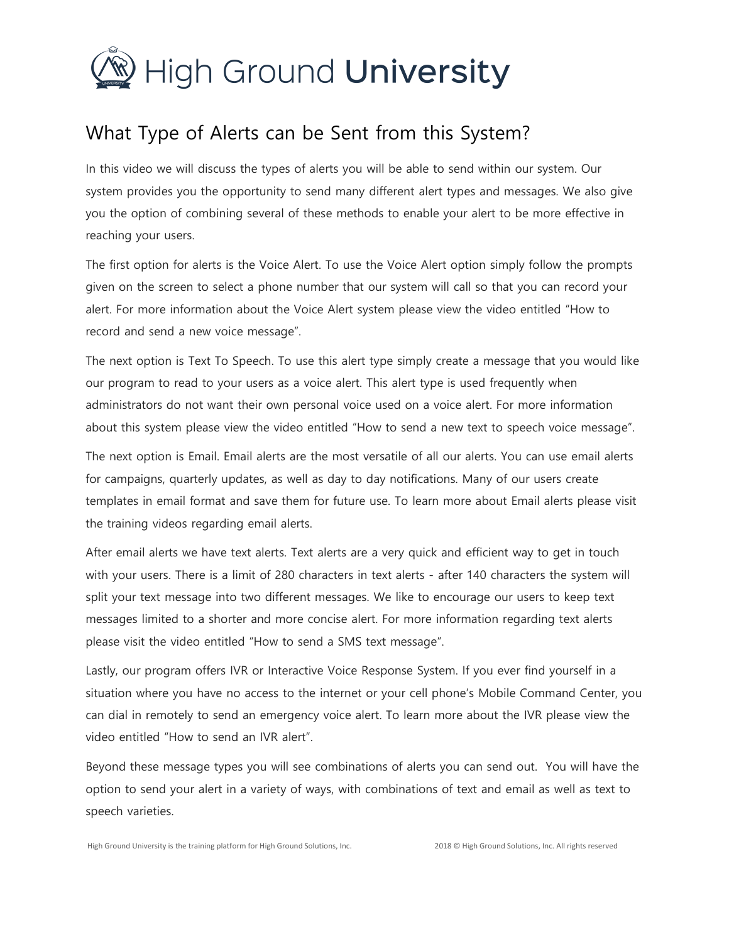

## What Type of Alerts can be Sent from this System?

In this video we will discuss the types of alerts you will be able to send within our system. Our system provides you the opportunity to send many different alert types and messages. We also give you the option of combining several of these methods to enable your alert to be more effective in reaching your users.

The first option for alerts is the Voice Alert. To use the Voice Alert option simply follow the prompts given on the screen to select a phone number that our system will call so that you can record your alert. For more information about the Voice Alert system please view the video entitled "How to record and send a new voice message".

The next option is Text To Speech. To use this alert type simply create a message that you would like our program to read to your users as a voice alert. This alert type is used frequently when administrators do not want their own personal voice used on a voice alert. For more information about this system please view the video entitled "How to send a new text to speech voice message".

The next option is Email. Email alerts are the most versatile of all our alerts. You can use email alerts for campaigns, quarterly updates, as well as day to day notifications. Many of our users create templates in email format and save them for future use. To learn more about Email alerts please visit the training videos regarding email alerts.

After email alerts we have text alerts. Text alerts are a very quick and efficient way to get in touch with your users. There is a limit of 280 characters in text alerts - after 140 characters the system will split your text message into two different messages. We like to encourage our users to keep text messages limited to a shorter and more concise alert. For more information regarding text alerts please visit the video entitled "How to send a SMS text message".

Lastly, our program offers IVR or Interactive Voice Response System. If you ever find yourself in a situation where you have no access to the internet or your cell phone's Mobile Command Center, you can dial in remotely to send an emergency voice alert. To learn more about the IVR please view the video entitled "How to send an IVR alert".

Beyond these message types you will see combinations of alerts you can send out. You will have the option to send your alert in a variety of ways, with combinations of text and email as well as text to speech varieties.